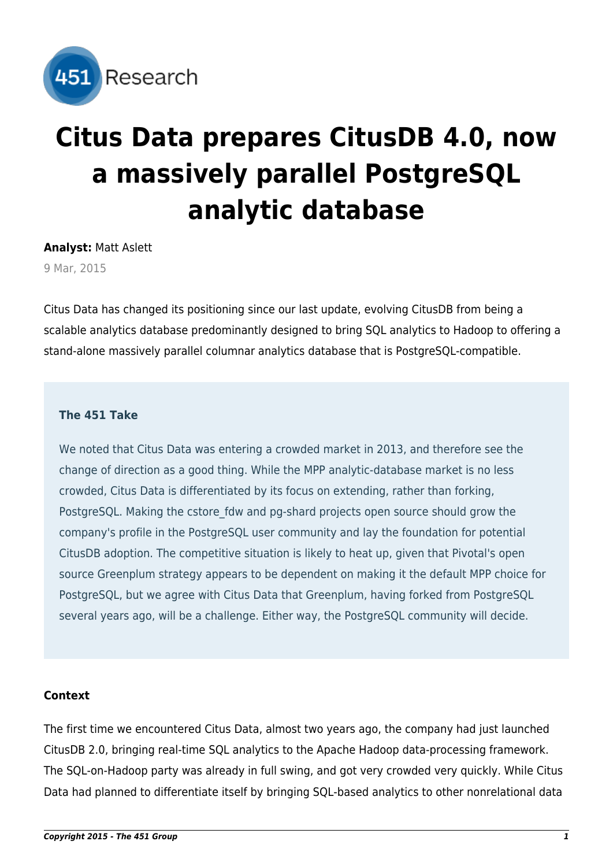

# **Citus Data prepares CitusDB 4.0, now a massively parallel PostgreSQL analytic database**

**Analyst:** Matt Aslett

9 Mar, 2015

Citus Data has changed its positioning since our last update, evolving CitusDB from being a scalable analytics database predominantly designed to bring SQL analytics to Hadoop to offering a stand-alone massively parallel columnar analytics database that is PostgreSQL-compatible.

# **The 451 Take**

We noted that Citus Data was entering a crowded market in 2013, and therefore see the change of direction as a good thing. While the MPP analytic-database market is no less crowded, Citus Data is differentiated by its focus on extending, rather than forking, PostgreSQL. Making the cstore fdw and pg-shard projects open source should grow the company's profile in the PostgreSQL user community and lay the foundation for potential CitusDB adoption. The competitive situation is likely to heat up, given that Pivotal's open source Greenplum strategy appears to be dependent on making it the default MPP choice for PostgreSQL, but we agree with Citus Data that Greenplum, having forked from PostgreSQL several years ago, will be a challenge. Either way, the PostgreSQL community will decide.

# **Context**

The first time we encountered Citus Data, [almost two years ago](http://451research.com/report-short?entityId=76488), the company had just launched CitusDB 2.0, bringing real-time SQL analytics to the Apache Hadoop data-processing framework. The SQL-on-Hadoop party was already [in full swing](http://451research.com/report-short?entityId=76134), and got very crowded very quickly. While Citus Data had planned to differentiate itself by bringing SQL-based analytics to other nonrelational data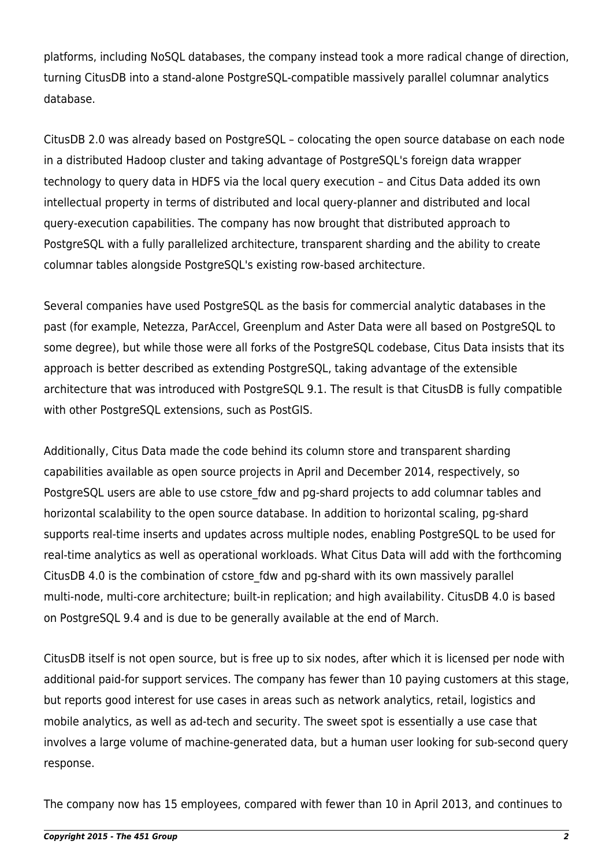platforms, including NoSQL databases, the company instead took a more radical change of direction, turning CitusDB into a stand-alone PostgreSOL-compatible massively parallel columnar analytics database.

CitusDB 2.0 was already based on PostgreSQL – colocating the open source database on each node in a distributed Hadoop cluster and taking advantage of PostgreSQL's foreign data wrapper technology to query data in HDFS via the local query execution – and Citus Data added its own intellectual property in terms of distributed and local query-planner and distributed and local query-execution capabilities. The company has now brought that distributed approach to PostgreSQL with a fully parallelized architecture, transparent sharding and the ability to create columnar tables alongside PostgreSQL's existing row-based architecture.

Several companies have used PostgreSQL as the basis for commercial analytic databases in the past (for example, Netezza, ParAccel, Greenplum and Aster Data were all based on PostgreSQL to some degree), but while those were all forks of the PostgreSQL codebase, Citus Data insists that its approach is better described as extending PostgreSQL, taking advantage of the extensible architecture that was introduced with PostgreSOL 9.1. The result is that CitusDB is fully compatible with other PostgreSQL extensions, such as PostGIS.

Additionally, Citus Data made the code behind its column store and transparent sharding capabilities available as open source projects in April and December 2014, respectively, so PostgreSQL users are able to use cstore fdw and pg-shard projects to add columnar tables and horizontal scalability to the open source database. In addition to horizontal scaling, pg-shard supports real-time inserts and updates across multiple nodes, enabling PostgreSQL to be used for real-time analytics as well as operational workloads. What Citus Data will add with the forthcoming CitusDB 4.0 is the combination of cstore fdw and pg-shard with its own massively parallel multi-node, multi-core architecture; built-in replication; and high availability. CitusDB 4.0 is based on PostgreSQL 9.4 and is due to be generally available at the end of March.

CitusDB itself is not open source, but is free up to six nodes, after which it is licensed per node with additional paid-for support services. The company has fewer than 10 paying customers at this stage, but reports good interest for use cases in areas such as network analytics, retail, logistics and mobile analytics, as well as ad-tech and security. The sweet spot is essentially a use case that involves a large volume of machine-generated data, but a human user looking for sub-second query response.

The company now has 15 employees, compared with fewer than 10 in April 2013, and continues to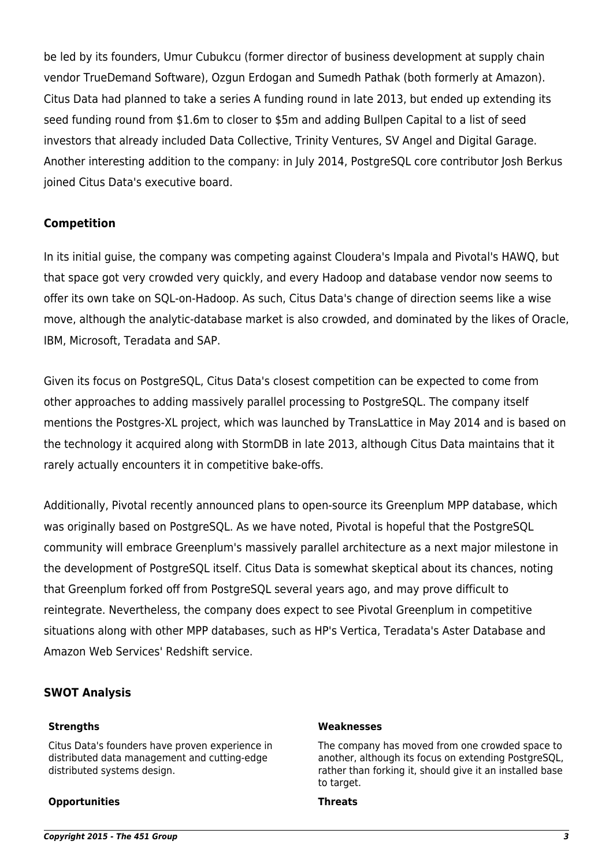be led by its founders, Umur Cubukcu (former director of business development at supply chain vendor TrueDemand Software), Ozgun Erdogan and Sumedh Pathak (both formerly at Amazon). Citus Data had planned to take a series A funding round in late 2013, but ended up extending its seed funding round from \$1.6m to closer to \$5m and adding Bullpen Capital to a list of seed investors that already included Data Collective, Trinity Ventures, SV Angel and Digital Garage. Another interesting addition to the company: in July 2014, PostgreSQL core contributor Josh Berkus joined Citus Data's executive board.

# **Competition**

In its initial guise, the company was competing against Cloudera's Impala and Pivotal's HAWQ, but that space got very crowded very quickly, and every Hadoop and database vendor now seems to offer its own take on SQL-on-Hadoop. As such, Citus Data's change of direction seems like a wise move, although the analytic-database market is also crowded, and dominated by the likes of Oracle, IBM, Microsoft, Teradata and SAP.

Given its focus on PostgreSQL, Citus Data's closest competition can be expected to come from other approaches to adding massively parallel processing to PostgreSQL. The company itself mentions the Postgres-XL project, which was launched by TransLattice in May 2014 and is based on the [technology it acquired](http://451research.com/report-short?entityId=78975) along with StormDB in late 2013, although Citus Data maintains that it rarely actually encounters it in competitive bake-offs.

Additionally, Pivotal recently announced plans to open-source its Greenplum MPP database, which was originally based on PostgreSQL. [As we have noted](http://451research.com/report-short?entityId=84363), Pivotal is hopeful that the PostgreSQL community will embrace Greenplum's massively parallel architecture as a next major milestone in the development of PostgreSQL itself. Citus Data is somewhat skeptical about its chances, noting that Greenplum forked off from PostgreSQL several years ago, and may prove difficult to reintegrate. Nevertheless, the company does expect to see Pivotal Greenplum in competitive situations along with other MPP databases, such as HP's Vertica, Teradata's Aster Database and Amazon Web Services' Redshift service.

# **SWOT Analysis**

Citus Data's founders have proven experience in distributed data management and cutting-edge distributed systems design.

#### **Opportunities Threats**

#### **Strengths Weaknesses**

The company has moved from one crowded space to another, although its focus on extending PostgreSQL, rather than forking it, should give it an installed base to target.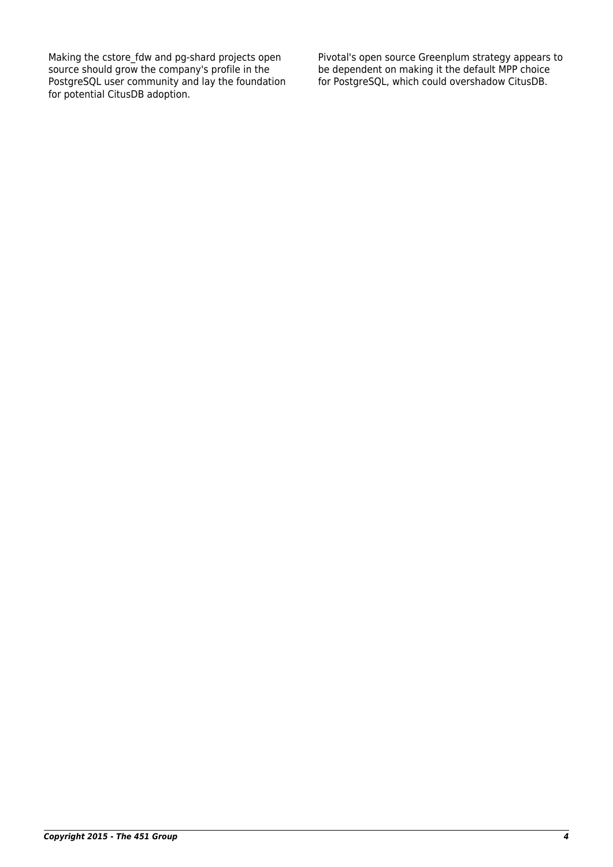Making the cstore\_fdw and pg-shard projects open source should grow the company's profile in the PostgreSQL user community and lay the foundation for potential CitusDB adoption.

Pivotal's open source Greenplum strategy appears to be dependent on making it the default MPP choice for PostgreSQL, which could overshadow CitusDB.